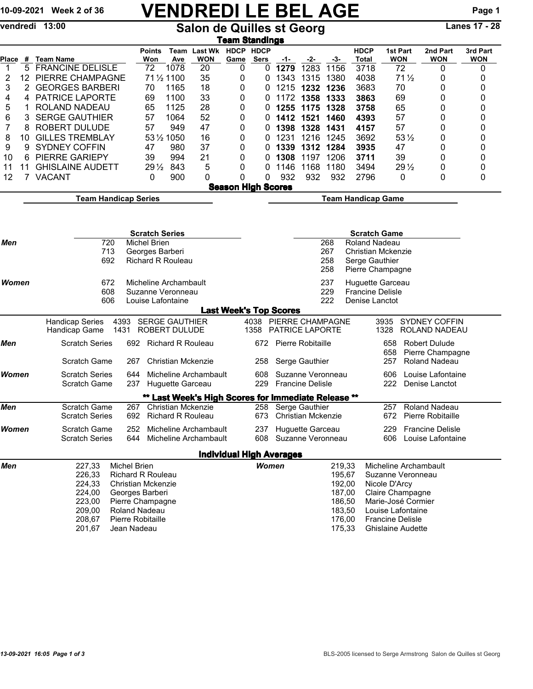# 10-09-2021 Week 2 of 36 VENDREDI LE BEL AGE Page 1

vendredi 13:00 Salon de Quilles st Georg Lanes 17 - 28

|             | <u>Team Standings</u>                                                                 |                                                           |                              |                                             |                                                     |                                 |                                                  |                         |                   |                           |                             |                                   |                 |                         |                        |  |  |  |  |  |  |
|-------------|---------------------------------------------------------------------------------------|-----------------------------------------------------------|------------------------------|---------------------------------------------|-----------------------------------------------------|---------------------------------|--------------------------------------------------|-------------------------|-------------------|---------------------------|-----------------------------|-----------------------------------|-----------------|-------------------------|------------------------|--|--|--|--|--|--|
| Place       | #                                                                                     | <b>Team Name</b>                                          | <b>Points</b><br>Won         | Ave                                         | Team Last Wk<br><b>WON</b>                          | HDCP HDCP<br>Game               | Sers                                             | -1-                     | -2-               | -3-                       | <b>HDCP</b><br>Total        | 1st Part<br><b>WON</b>            |                 | 2nd Part<br>WON         | 3rd Part<br><b>WON</b> |  |  |  |  |  |  |
| $\mathbf 1$ | 5                                                                                     | <b>FRANCINE DELISLE</b>                                   | 72                           | 1078                                        | 20                                                  | 0                               | 0                                                | 1279                    | 1283              | 1156                      | 3718                        | 72                                |                 | 0                       | 0                      |  |  |  |  |  |  |
| 2           | 12                                                                                    | PIERRE CHAMPAGNE                                          |                              | 71 1/2 1100                                 | 35                                                  | 0                               | 0                                                | 1343                    | 1315              | 1380                      | 4038                        |                                   | $71\frac{1}{2}$ | 0                       | 0                      |  |  |  |  |  |  |
| 3           | 2                                                                                     | <b>GEORGES BARBERI</b>                                    | 70                           | 1165                                        | 18                                                  | 0                               | 0                                                | 1215                    | 1232 1236         |                           | 3683                        | 70                                |                 | 0                       | 0                      |  |  |  |  |  |  |
| 4           | 4                                                                                     | <b>PATRICE LAPORTE</b>                                    | 69                           | 1100                                        | 33                                                  | 0                               | 0                                                | 1172                    | 1358              | 1333                      | 3863                        | 69                                |                 | 0                       | 0                      |  |  |  |  |  |  |
| 5           | 1                                                                                     | ROLAND NADEAU                                             | 65                           | 1125                                        | 28                                                  | 0                               | 0                                                | 1255                    | 1175              | 1328                      | 3758                        | 65                                |                 | 0                       | 0                      |  |  |  |  |  |  |
| 6           | 3                                                                                     | <b>SERGE GAUTHIER</b>                                     | 57                           | 1064                                        | 52                                                  | 0                               | 0                                                | 1412                    | 1521              | 1460                      | 4393                        | 57                                |                 | 0                       | 0                      |  |  |  |  |  |  |
| 7           | 8                                                                                     | <b>ROBERT DULUDE</b>                                      | 57                           | 949                                         | 47                                                  | 0                               | 0                                                | 1398                    | 1328              | 1431                      | 4157                        | 57                                |                 | 0                       | 0                      |  |  |  |  |  |  |
| 8           | 10                                                                                    | <b>GILLES TREMBLAY</b>                                    |                              | 53 1/2 1050                                 | 16                                                  | 0                               | 0                                                | 1231                    | 1216              | 1245                      | 3692                        |                                   | $53\frac{1}{2}$ | 0                       | 0                      |  |  |  |  |  |  |
|             |                                                                                       | <b>SYDNEY COFFIN</b>                                      | 47                           | 980                                         | 37                                                  | 0                               |                                                  |                         |                   |                           |                             | 47                                |                 | 0                       |                        |  |  |  |  |  |  |
| 9           | 9                                                                                     |                                                           |                              |                                             |                                                     |                                 | 0                                                | 1339                    | 1312 1284         |                           | 3935                        |                                   |                 |                         | 0                      |  |  |  |  |  |  |
| 10          | 6                                                                                     | <b>PIERRE GARIEPY</b>                                     | 39                           | 994                                         | 21                                                  | 0                               | 0                                                | 1308                    | 1197 1206         |                           | 3711                        | 39                                |                 | 0                       | 0                      |  |  |  |  |  |  |
| 11          | 11                                                                                    | <b>GHISLAINE AUDETT</b>                                   | $29\frac{1}{2}$              | 843                                         | 5                                                   | 0                               | 0                                                | 1146                    | 1168              | 1180                      | 3494                        |                                   | $29\frac{1}{2}$ | 0                       | 0                      |  |  |  |  |  |  |
| 12          | 7                                                                                     | <b>VACANT</b>                                             | 0                            | 900                                         | 0                                                   | 0                               | 0                                                | 932                     | 932               | 932                       | 2796                        | 0                                 |                 | 0                       | 0                      |  |  |  |  |  |  |
|             | <b>Season High Scores</b><br><b>Team Handicap Series</b><br><b>Team Handicap Game</b> |                                                           |                              |                                             |                                                     |                                 |                                                  |                         |                   |                           |                             |                                   |                 |                         |                        |  |  |  |  |  |  |
|             |                                                                                       |                                                           |                              |                                             |                                                     |                                 |                                                  |                         |                   |                           |                             |                                   |                 |                         |                        |  |  |  |  |  |  |
|             |                                                                                       |                                                           |                              |                                             |                                                     |                                 |                                                  |                         |                   |                           |                             |                                   |                 |                         |                        |  |  |  |  |  |  |
|             |                                                                                       |                                                           | <b>Scratch Series</b>        |                                             |                                                     |                                 |                                                  |                         |                   |                           |                             |                                   |                 |                         |                        |  |  |  |  |  |  |
| Men         |                                                                                       | 720<br><b>Michel Brien</b>                                |                              | <b>Scratch Game</b><br>268<br>Roland Nadeau |                                                     |                                 |                                                  |                         |                   |                           |                             |                                   |                 |                         |                        |  |  |  |  |  |  |
|             |                                                                                       | 713                                                       | Georges Barberi              |                                             |                                                     |                                 |                                                  |                         |                   | 267<br>Christian Mckenzie |                             |                                   |                 |                         |                        |  |  |  |  |  |  |
|             |                                                                                       | 692<br><b>Richard R Rouleau</b>                           |                              | 258<br>Serge Gauthier                       |                                                     |                                 |                                                  |                         |                   |                           |                             |                                   |                 |                         |                        |  |  |  |  |  |  |
|             |                                                                                       |                                                           |                              |                                             |                                                     |                                 |                                                  |                         |                   | 258                       | Pierre Champagne            |                                   |                 |                         |                        |  |  |  |  |  |  |
| Women       |                                                                                       | 672                                                       | Micheline Archambault        |                                             |                                                     |                                 |                                                  |                         |                   | 237                       | Huguette Garceau            |                                   |                 |                         |                        |  |  |  |  |  |  |
|             |                                                                                       | 608<br>Suzanne Veronneau                                  |                              |                                             |                                                     |                                 | 229                                              | <b>Francine Delisle</b> |                   |                           |                             |                                   |                 |                         |                        |  |  |  |  |  |  |
|             |                                                                                       | 606<br>Louise Lafontaine                                  |                              |                                             |                                                     |                                 | 222                                              | Denise Lanctot          |                   |                           |                             |                                   |                 |                         |                        |  |  |  |  |  |  |
|             |                                                                                       |                                                           |                              |                                             |                                                     | <b>Last Week's Top Scores</b>   |                                                  |                         |                   |                           |                             |                                   |                 |                         |                        |  |  |  |  |  |  |
|             |                                                                                       | 4393<br><b>Handicap Series</b>                            |                              | <b>SERGE GAUTHIER</b>                       |                                                     |                                 | 4038                                             |                         |                   | PIERRE CHAMPAGNE          |                             | 3935                              |                 | SYDNEY COFFIN           |                        |  |  |  |  |  |  |
|             |                                                                                       | Handicap Game<br>1431                                     |                              | ROBERT DULUDE                               |                                                     |                                 | 1358                                             | <b>PATRICE LAPORTE</b>  |                   |                           |                             | 1328                              |                 | ROLAND NADEAU           |                        |  |  |  |  |  |  |
| Men         |                                                                                       | <b>Scratch Series</b>                                     |                              | 692 Richard R Rouleau                       |                                                     |                                 | 672                                              | Pierre Robitaille       |                   |                           | 658<br><b>Robert Dulude</b> |                                   |                 |                         |                        |  |  |  |  |  |  |
|             |                                                                                       |                                                           |                              |                                             |                                                     |                                 |                                                  |                         |                   |                           | 658<br>Pierre Champagne     |                                   |                 |                         |                        |  |  |  |  |  |  |
|             |                                                                                       | Scratch Game                                              | 267                          | <b>Christian Mckenzie</b>                   |                                                     |                                 | 258                                              |                         | Serge Gauthier    |                           |                             | 257                               |                 | <b>Roland Nadeau</b>    |                        |  |  |  |  |  |  |
| Women       |                                                                                       | <b>Scratch Series</b>                                     | Micheline Archambault<br>644 |                                             |                                                     |                                 |                                                  |                         | Suzanne Veronneau |                           |                             | 606                               |                 | Louise Lafontaine       |                        |  |  |  |  |  |  |
|             |                                                                                       | <b>Scratch Game</b>                                       | 237                          | Huguette Garceau                            |                                                     |                                 | 229                                              | <b>Francine Delisle</b> |                   |                           |                             | 222                               |                 | Denise Lanctot          |                        |  |  |  |  |  |  |
|             |                                                                                       |                                                           |                              |                                             | ** Last Week's High Scores for Immediate Release ** |                                 |                                                  |                         |                   |                           |                             |                                   |                 |                         |                        |  |  |  |  |  |  |
| Men         |                                                                                       | <b>Scratch Game</b>                                       | 267                          | <b>Christian Mckenzie</b>                   |                                                     |                                 | 258                                              |                         | Serge Gauthier    |                           |                             | 257                               |                 | <b>Roland Nadeau</b>    |                        |  |  |  |  |  |  |
|             |                                                                                       | <b>Scratch Series</b>                                     |                              | 692 Richard R Rouleau                       |                                                     |                                 | Christian Mckenzie<br>673                        |                         |                   |                           |                             | 672                               |                 | Pierre Robitaille       |                        |  |  |  |  |  |  |
| Women       |                                                                                       | Scratch Game                                              | 252                          |                                             | Micheline Archambault                               |                                 |                                                  |                         |                   |                           |                             | 229                               |                 | <b>Francine Delisle</b> |                        |  |  |  |  |  |  |
|             |                                                                                       | <b>Scratch Series</b>                                     | 644                          |                                             | Micheline Archambault                               |                                 | 237 Huguette Garceau<br>608<br>Suzanne Veronneau |                         |                   |                           |                             | 606                               |                 | Louise Lafontaine       |                        |  |  |  |  |  |  |
|             |                                                                                       |                                                           |                              |                                             |                                                     |                                 |                                                  |                         |                   |                           |                             |                                   |                 |                         |                        |  |  |  |  |  |  |
|             |                                                                                       |                                                           |                              |                                             |                                                     | <b>Individual High Averages</b> | Women                                            |                         |                   |                           |                             | Micheline Archambault             |                 |                         |                        |  |  |  |  |  |  |
| Men         |                                                                                       | <b>Michel Brien</b><br>227,33<br><b>Richard R Rouleau</b> |                              |                                             |                                                     |                                 |                                                  |                         |                   | 219,33                    |                             | Suzanne Veronneau                 |                 |                         |                        |  |  |  |  |  |  |
|             |                                                                                       | 226,33                                                    | <b>Christian Mckenzie</b>    |                                             |                                                     |                                 |                                                  |                         |                   | 195,67                    |                             |                                   |                 |                         |                        |  |  |  |  |  |  |
|             |                                                                                       | 224,33<br>224,00                                          | Georges Barberi              |                                             |                                                     |                                 |                                                  |                         |                   | 192,00<br>187,00          |                             | Nicole D'Arcy<br>Claire Champagne |                 |                         |                        |  |  |  |  |  |  |
|             |                                                                                       | 223,00                                                    | Pierre Champagne             |                                             |                                                     |                                 |                                                  |                         |                   | 186,50                    |                             | Marie-José Cormier                |                 |                         |                        |  |  |  |  |  |  |
|             |                                                                                       | 209,00                                                    | <b>Roland Nadeau</b>         |                                             |                                                     |                                 |                                                  |                         |                   | 183,50                    |                             | Louise Lafontaine                 |                 |                         |                        |  |  |  |  |  |  |
|             |                                                                                       | 208,67                                                    | Pierre Robitaille            |                                             |                                                     |                                 |                                                  |                         |                   | 176,00                    |                             | <b>Francine Delisle</b>           |                 |                         |                        |  |  |  |  |  |  |
|             |                                                                                       | 201,67                                                    | Jean Nadeau                  |                                             |                                                     |                                 |                                                  |                         |                   | 175,33                    |                             | Ghislaine Audette                 |                 |                         |                        |  |  |  |  |  |  |
|             |                                                                                       |                                                           |                              |                                             |                                                     |                                 |                                                  |                         |                   |                           |                             |                                   |                 |                         |                        |  |  |  |  |  |  |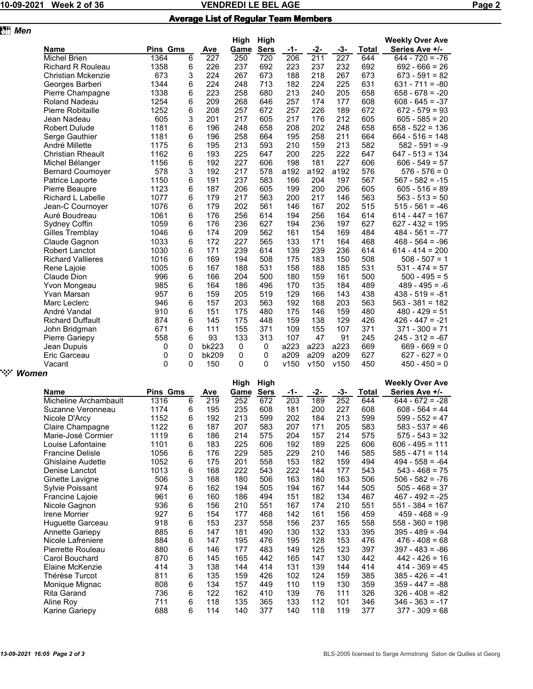# 10-09-2021 Week 2 of 36 Network 2010 NENDREDI LE BEL AGE Network 2012 10-09-2021 Page 2

|  |  | <b>Average List of Regular Team Members</b> |
|--|--|---------------------------------------------|
|  |  |                                             |

| <b>Men</b> |                          |                 |   |       |             |             |      |      |      |       |                        |
|------------|--------------------------|-----------------|---|-------|-------------|-------------|------|------|------|-------|------------------------|
|            |                          |                 |   |       | <b>High</b> | High        |      |      |      |       | <b>Weekly Over Ave</b> |
|            | <b>Name</b>              | <b>Pins Gms</b> |   | Ave   | Game        | <b>Sers</b> | -1-  | -2-  | -3-  | Total | Series Ave +/-         |
|            | <b>Michel Brien</b>      | 1364            | 6 | 227   | 250         | 720         | 206  | 211  | 227  | 644   | $644 - 720 = -76$      |
|            | <b>Richard R Rouleau</b> | 1358            | 6 | 226   | 237         | 692         | 223  | 237  | 232  | 692   | $692 - 666 = 26$       |
|            | Christian Mckenzie       | 673             | 3 | 224   | 267         | 673         | 188  | 218  | 267  | 673   | $673 - 591 = 82$       |
|            | Georges Barberi          | 1344            | 6 | 224   | 248         | 713         | 182  | 224  | 225  | 631   | $631 - 711 = -80$      |
|            | Pierre Champagne         | 1338            | 6 | 223   | 258         | 680         | 213  | 240  | 205  | 658   | $658 - 678 = -20$      |
|            | <b>Roland Nadeau</b>     | 1254            | 6 | 209   | 268         | 646         | 257  | 174  | 177  | 608   | $608 - 645 = -37$      |
|            | Pierre Robitaille        | 1252            | 6 | 208   | 257         | 672         | 257  | 226  | 189  | 672   | $672 - 579 = 93$       |
|            | Jean Nadeau              | 605             | 3 | 201   | 217         | 605         | 217  | 176  | 212  | 605   | $605 - 585 = 20$       |
|            | <b>Robert Dulude</b>     | 1181            | 6 | 196   | 248         | 658         | 208  | 202  | 248  | 658   | $658 - 522 = 136$      |
|            | Serge Gauthier           | 1181            | 6 | 196   | 258         | 664         | 195  | 258  | 211  | 664   | $664 - 516 = 148$      |
|            | André Millette           | 1175            | 6 | 195   | 213         | 593         | 210  | 159  | 213  | 582   | $582 - 591 = -9$       |
|            | <b>Christian Rheault</b> | 1162            | 6 | 193   | 225         | 647         | 200  | 225  | 222  | 647   | $647 - 513 = 134$      |
|            | Michel Bélanger          | 1156            | 6 | 192   | 227         | 606         | 198  | 181  | 227  | 606   | $606 - 549 = 57$       |
|            | <b>Bernard Cournoyer</b> | 578             | 3 | 192   | 217         | 578         | a192 | a192 | a192 | 576   | $576 - 576 = 0$        |
|            | Patrice Laporte          | 1150            | 6 | 191   | 237         | 583         | 166  | 204  | 197  | 567   | $567 - 582 = -15$      |
|            | Pierre Beaupre           | 1123            | 6 | 187   | 206         | 605         | 199  | 200  | 206  | 605   | $605 - 516 = 89$       |
|            | Richard L Labelle        | 1077            | 6 | 179   | 217         | 563         | 200  | 217  | 146  | 563   | $563 - 513 = 50$       |
|            | Jean-C Cournoyer         | 1076            | 6 | 179   | 202         | 561         | 146  | 167  | 202  | 515   | $515 - 561 = -46$      |
|            | Auré Boudreau            | 1061            | 6 | 176   | 256         | 614         | 194  | 256  | 164  | 614   | $614 - 447 = 167$      |
|            | Sydney Coffin            | 1059            | 6 | 176   | 236         | 627         | 194  | 236  | 197  | 627   | $627 - 432 = 195$      |
|            | Gilles Tremblay          | 1046            | 6 | 174   | 209         | 562         | 161  | 154  | 169  | 484   | $484 - 561 = -77$      |
|            | Claude Gagnon            | 1033            | 6 | 172   | 227         | 565         | 133  | 171  | 164  | 468   | $468 - 564 = -96$      |
|            | Robert Lanctot           | 1030            | 6 | 171   | 239         | 614         | 139  | 239  | 236  | 614   | $614 - 414 = 200$      |
|            | <b>Richard Vallieres</b> | 1016            | 6 | 169   | 194         | 508         | 175  | 183  | 150  | 508   | $508 - 507 = 1$        |
|            | Rene Lajoie              | 1005            | 6 | 167   | 188         | 531         | 158  | 188  | 185  | 531   | $531 - 474 = 57$       |
|            | Claude Dion              | 996             | 6 | 166   | 204         | 500         | 180  | 159  | 161  | 500   | $500 - 495 = 5$        |
|            | Yvon Mongeau             | 985             | 6 | 164   | 186         | 496         | 170  | 135  | 184  | 489   | $489 - 495 = -6$       |
|            | Yvan Marsan              | 957             | 6 | 159   | 205         | 519         | 129  | 166  | 143  | 438   | $438 - 519 = -81$      |
|            | Marc Leclerc             | 946             | 6 | 157   | 203         | 563         | 192  | 168  | 203  | 563   | $563 - 381 = 182$      |
|            | André Vandal             | 910             | 6 | 151   | 175         | 480         | 175  | 146  | 159  | 480   | $480 - 429 = 51$       |
|            | <b>Richard Duffault</b>  | 874             | 6 | 145   | 175         | 448         | 159  | 138  | 129  | 426   | $426 - 447 = -21$      |
|            | John Bridgman            | 671             | 6 | 111   | 155         | 371         | 109  | 155  | 107  | 371   | $371 - 300 = 71$       |
|            | Pierre Gariepy           | 558             | 6 | 93    | 133         | 313         | 107  | 47   | 91   | 245   | $245 - 312 = -67$      |
|            | Jean Dupuis              | 0               | 0 | bk223 | 0           | 0           | a223 | a223 | a223 | 669   | $669 - 669 = 0$        |
|            | Eric Garceau             | 0               | 0 | bk209 | 0           | 0           | a209 | a209 | a209 | 627   | $627 - 627 = 0$        |
|            | Vacant                   | $\Omega$        | 0 | 150   | 0           | 0           | v150 | v150 | v150 | 450   | $450 - 450 = 0$        |
|            |                          |                 |   |       |             |             |      |      |      |       |                        |

| ` <sup>:</sup> :∵ Women |
|-------------------------|
|                         |

|                          |                 |   |     | High | High        |     |     |     |       | <b>Weekly Over Ave</b> |
|--------------------------|-----------------|---|-----|------|-------------|-----|-----|-----|-------|------------------------|
| <b>Name</b>              | <b>Pins Gms</b> |   | Ave | Game | <b>Sers</b> | -1- | -2- | -3- | Total | Series Ave +/-         |
| Micheline Archambault    | 1316            | 6 | 219 | 252  | 672         | 203 | 189 | 252 | 644   | $644 - 672 = -28$      |
| Suzanne Veronneau        | 1174            | 6 | 195 | 235  | 608         | 181 | 200 | 227 | 608   | $608 - 564 = 44$       |
| Nicole D'Arcy            | 1152            | 6 | 192 | 213  | 599         | 202 | 184 | 213 | 599   | $599 - 552 = 47$       |
| Claire Champagne         | 1122            | 6 | 187 | 207  | 583         | 207 | 171 | 205 | 583   | $583 - 537 = 46$       |
| Marie-José Cormier       | 1119            | 6 | 186 | 214  | 575         | 204 | 157 | 214 | 575   | $575 - 543 = 32$       |
| Louise Lafontaine        | 1101            | 6 | 183 | 225  | 606         | 192 | 189 | 225 | 606   | $606 - 495 = 111$      |
| <b>Francine Delisle</b>  | 1056            | 6 | 176 | 229  | 585         | 229 | 210 | 146 | 585   | $585 - 471 = 114$      |
| <b>Ghislaine Audette</b> | 1052            | 6 | 175 | 201  | 558         | 153 | 182 | 159 | 494   | $494 - 558 = -64$      |
| Denise Lanctot           | 1013            | 6 | 168 | 222  | 543         | 222 | 144 | 177 | 543   | $543 - 468 = 75$       |
| Ginette Lavigne          | 506             | 3 | 168 | 180  | 506         | 163 | 180 | 163 | 506   | $506 - 582 = -76$      |
| Sylvie Poissant          | 974             | 6 | 162 | 194  | 505         | 194 | 167 | 144 | 505   | $505 - 468 = 37$       |
| Francine Lajoie          | 961             | 6 | 160 | 186  | 494         | 151 | 182 | 134 | 467   | $467 - 492 = -25$      |
| Nicole Gagnon            | 936             | 6 | 156 | 210  | 551         | 167 | 174 | 210 | 551   | $551 - 384 = 167$      |
| Irene Morrier            | 927             | 6 | 154 | 177  | 468         | 142 | 161 | 156 | 459   | $459 - 468 = -9$       |
| Huguette Garceau         | 918             | 6 | 153 | 237  | 558         | 156 | 237 | 165 | 558   | $558 - 360 = 198$      |
| <b>Annette Gariepy</b>   | 885             | 6 | 147 | 181  | 490         | 130 | 132 | 133 | 395   | $395 - 489 = -94$      |
| Nicole Lafreniere        | 884             | 6 | 147 | 195  | 476         | 195 | 128 | 153 | 476   | $476 - 408 = 68$       |
| Pierrette Rouleau        | 880             | 6 | 146 | 177  | 483         | 149 | 125 | 123 | 397   | $397 - 483 = -86$      |
| Carol Bouchard           | 870             | 6 | 145 | 165  | 442         | 165 | 147 | 130 | 442   | $442 - 426 = 16$       |
| Elaine McKenzie          | 414             | 3 | 138 | 144  | 414         | 131 | 139 | 144 | 414   | $414 - 369 = 45$       |
| Thérèse Turcot           | 811             | 6 | 135 | 159  | 426         | 102 | 124 | 159 | 385   | $385 - 426 = -41$      |
| Monique Mignac           | 808             | 6 | 134 | 157  | 449         | 110 | 119 | 130 | 359   | $359 - 447 = -88$      |
| Rita Garand              | 736             | 6 | 122 | 162  | 410         | 139 | 76  | 111 | 326   | $326 - 408 = -82$      |
| Aline Roy                | 711             | 6 | 118 | 135  | 365         | 133 | 112 | 101 | 346   | $346 - 363 = -17$      |
| Karine Gariepy           | 688             | 6 | 114 | 140  | 377         | 140 | 118 | 119 | 377   | $377 - 309 = 68$       |